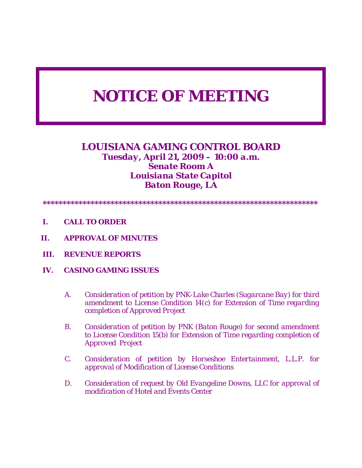# *NOTICE OF MEETING*

## *LOUISIANA GAMING CONTROL BOARD Tuesday, April 21, 2009 – 10:00 a.m. Senate Room A Louisiana State Capitol Baton Rouge, LA*

- *\*\*\*\*\*\*\*\*\*\*\*\*\*\*\*\*\*\*\*\*\*\*\*\*\*\*\*\*\*\*\*\*\*\*\*\*\*\*\*\*\*\*\*\*\*\*\*\*\*\*\*\*\*\*\*\*\*\*\*\*\*\*\*\*\*\*\*\*\**
- *I. CALL TO ORDER*
- *II. APPROVAL OF MINUTES*
- *III. REVENUE REPORTS*
- *IV. CASINO GAMING ISSUES* 
	- *A. Consideration of petition by PNK-Lake Charles (Sugarcane Bay) for third amendment to License Condition 14(c) for Extension of Time regarding completion of Approved Project*
	- *B. Consideration of petition by PNK (Baton Rouge) for second amendment to License Condition 15(b) for Extension of Time regarding completion of Approved Project*
	- *C. Consideration of petition by Horseshoe Entertainment, L.L.P. for approval of Modification of License Conditions*
	- *D. Consideration of request by Old Evangeline Downs, LLC for approval of modification of Hotel and Events Center*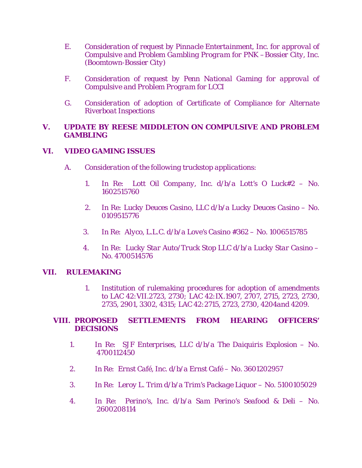- *E. Consideration of request by Pinnacle Entertainment, Inc. for approval of Compulsive and Problem Gambling Program for PNK –Bossier City, Inc. (Boomtown-Bossier City)*
- *F. Consideration of request by Penn National Gaming for approval of Compulsive and Problem Program for LCCI*
- *G. Consideration of adoption of Certificate of Compliance for Alternate Riverboat Inspections*

### *V. UPDATE BY REESE MIDDLETON ON COMPULSIVE AND PROBLEM GAMBLING*

#### *VI. VIDEO GAMING ISSUES*

- *A. Consideration of the following truckstop applications:* 
	- *1. In Re: Lott Oil Company, Inc. d/b/a Lott's O Luck#2 No. 1602515760*
	- *2. In Re: Lucky Deuces Casino, LLC d/b/a Lucky Deuces Casino No. 0109515776*
	- *3. In Re: Alyco, L.L.C. d/b/a Love's Casino #362 No. 1006515785*
	- *4. In Re: Lucky Star Auto/Truck Stop LLC d/b/a Lucky Star Casino No. 4700514576*

#### *VII. RULEMAKING*

*1. Institution of rulemaking procedures for adoption of amendments to LAC 42:VII.2723, 2730; LAC 42:IX.1907, 2707, 2715, 2723, 2730, 2735, 2901, 3302, 4315; LAC 42:2715, 2723, 2730, 4204and 4209.* 

#### *VIII. PROPOSED SETTLEMENTS FROM HEARING OFFICERS' DECISIONS*

- *1. In Re: SJF Enterprises, LLC d/b/a The Daiquiris Explosion No. 4700112450*
- *2. In Re: Ernst Café, Inc. d/b/a Ernst Café No. 3601202957*
- *3. In Re: Leroy L. Trim d/b/a Trim's Package Liquor No. 5100105029*
- *4. In Re: Perino's, Inc. d/b/a Sam Perino's Seafood & Deli No. 2600208114*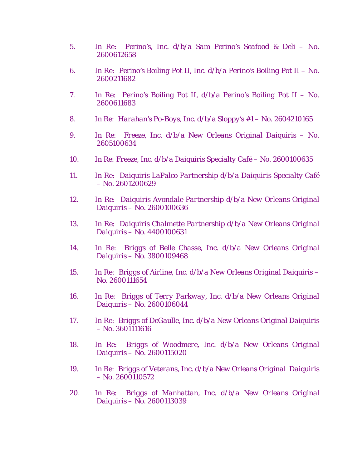- *5. In Re: Perino's, Inc. d/b/a Sam Perino's Seafood & Deli No. 2600612658*
- *6. In Re: Perino's Boiling Pot II, Inc. d/b/a Perino's Boiling Pot II No. 2600211682*
- *7. In Re: Perino's Boiling Pot II, d/b/a Perino's Boiling Pot II No. 2600611683*
- *8. In Re: Harahan's Po-Boys, Inc. d/b/a Sloppy's #1 No. 2604210165*
- *9. In Re: Freeze, Inc. d/b/a New Orleans Original Daiquiris No. 2605100634*
- *10. In Re: Freeze, Inc. d/b/a Daiquiris Specialty Café No. 2600100635*
- *11. In Re: Daiquiris LaPalco Partnership d/b/a Daiquiris Specialty Café – No. 2601200629*
- *12. In Re: Daiquiris Avondale Partnership d/b/a New Orleans Original Daiquiris – No. 2600100636*
- *13. In Re: Daiquiris Chalmette Partnership d/b/a New Orleans Original Daiquiris – No. 4400100631*
- *14. In Re: Briggs of Belle Chasse, Inc. d/b/a New Orleans Original Daiquiris – No. 3800109468*
- *15. In Re: Briggs of Airline, Inc. d/b/a New Orleans Original Daiquiris No. 2600111654*
- *16. In Re: Briggs of Terry Parkway, Inc. d/b/a New Orleans Original Daiquiris – No. 2600106044*
- *17. In Re: Briggs of DeGaulle, Inc. d/b/a New Orleans Original Daiquiris – No. 3601111616*
- *18. In Re: Briggs of Woodmere, Inc. d/b/a New Orleans Original Daiquiris – No. 2600115020*
- *19. In Re: Briggs of Veterans, Inc. d/b/a New Orleans Original Daiquiris – No. 2600110572*
- *20. In Re: Briggs of Manhattan, Inc. d/b/a New Orleans Original Daiquiris – No. 2600113039*